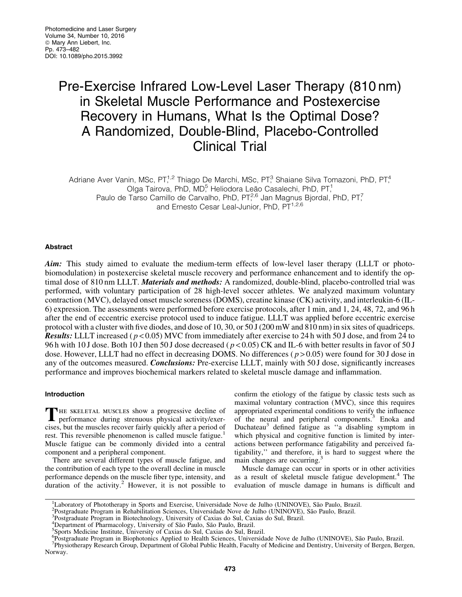# Pre-Exercise Infrared Low-Level Laser Therapy (810 nm) in Skeletal Muscle Performance and Postexercise Recovery in Humans, What Is the Optimal Dose? A Randomized, Double-Blind, Placebo-Controlled Clinical Trial

Adriane Aver Vanin, MSc, PT,<sup>1,2</sup> Thiago De Marchi, MSc, PT,<sup>3</sup> Shaiane Silva Tomazoni, PhD, PT,<sup>4</sup> Olga Tairova, PhD, MD<sup>5</sup> Heliodora Leão Casalechi, PhD, PT,<sup>1</sup> Paulo de Tarso Camillo de Carvalho, PhD, PT<sup>2,6</sup> Jan Magnus Bjordal, PhD, PT<sup>7</sup>, and Ernesto Cesar Leal-Junior, PhD, PT<sup>1,2,6</sup>

# Abstract

Aim: This study aimed to evaluate the medium-term effects of low-level laser therapy (LLLT or photobiomodulation) in postexercise skeletal muscle recovery and performance enhancement and to identify the optimal dose of 810 nm LLLT. *Materials and methods*: A randomized, double-blind, placebo-controlled trial was performed, with voluntary participation of 28 high-level soccer athletes. We analyzed maximum voluntary contraction (MVC), delayed onset muscle soreness (DOMS), creatine kinase (CK) activity, and interleukin-6 (IL-6) expression. The assessments were performed before exercise protocols, after 1 min, and 1, 24, 48, 72, and 96 h after the end of eccentric exercise protocol used to induce fatigue. LLLT was applied before eccentric exercise protocol with a cluster with five diodes, and dose of 10, 30, or 50 J (200 mW and 810 nm) in six sites of quadriceps. Results: LLLT increased ( *p* < 0.05) MVC from immediately after exercise to 24 h with 50 J dose, and from 24 to 96 h with 10 J dose. Both 10 J then 50 J dose decreased ( *p* < 0.05) CK and IL-6 with better results in favor of 50 J dose. However, LLLT had no effect in decreasing DOMS. No differences ( *p* > 0.05) were found for 30 J dose in any of the outcomes measured. *Conclusions:* Pre-exercise LLLT, mainly with 50 J dose, significantly increases performance and improves biochemical markers related to skeletal muscle damage and inflammation.

# Introduction

THE SKELETAL MUSCLES show a progressive decline of performance during strenuous physical activity/exercises, but the muscles recover fairly quickly after a period of rest. This reversible phenomenon is called muscle fatigue.<sup>1</sup> Muscle fatigue can be commonly divided into a central component and a peripheral component.

There are several different types of muscle fatigue, and the contribution of each type to the overall decline in muscle performance depends on the muscle fiber type, intensity, and duration of the activity.<sup>2</sup> However, it is not possible to confirm the etiology of the fatigue by classic tests such as maximal voluntary contraction (MVC), since this requires appropriated experimental conditions to verify the influence of the neural and peripheral components.<sup>3</sup> Enoka and Duchateau<sup>3</sup> defined fatigue as "a disabling symptom in which physical and cognitive function is limited by interactions between performance fatigability and perceived fatigability,'' and therefore, it is hard to suggest where the main changes are occurring.<sup>3</sup>

Muscle damage can occur in sports or in other activities as a result of skeletal muscle fatigue development.<sup>4</sup> The evaluation of muscle damage in humans is difficult and

<sup>&</sup>lt;sup>1</sup>Laboratory of Phototherapy in Sports and Exercise, Universidade Nove de Julho (UNINOVE), São Paulo, Brazil.<br><sup>2</sup>Postareduate Program in Pebebilitation Sciences, Universidade Nove de Julho (UNINOVE), São Paulo, Brazil.

<sup>&</sup>lt;sup>2</sup>Postgraduate Program in Rehabilitation Sciences, Universidade Nove de Julho (UNINOVE), São Paulo, Brazil.

<sup>&</sup>lt;sup>3</sup>Postgraduate Program in Biotechnology, University of Caxias do Sul, Caxias do Sul, Brazil.

<sup>4</sup> Department of Pharmacology, University of São Paulo, São Paulo, Brazil.<br>5 Sports Medicine Institute, University of Caxias do Sul, Caxias do Sul, Brazil.

<sup>&</sup>lt;sup>6</sup> Postgraduate Program in Biophotonics Applied to Health Sciences, Universidade Nove de Julho (UNINOVE), São Paulo, Brazil.<br><sup>7</sup> Physiotherany Research Group, Department of Global Public Health, Faculty of Medicine and De

Physiotherapy Research Group, Department of Global Public Health, Faculty of Medicine and Dentistry, University of Bergen, Bergen, Norway.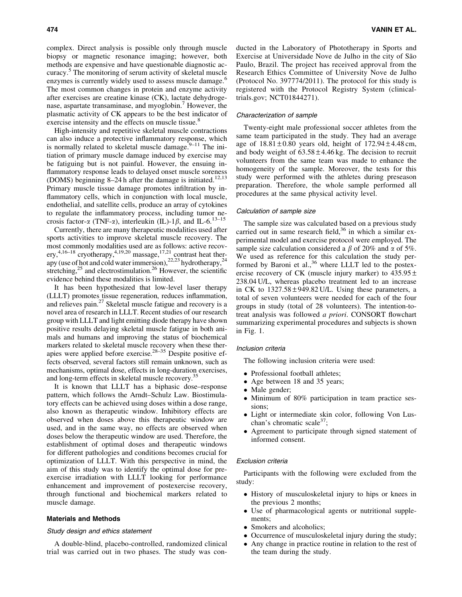complex. Direct analysis is possible only through muscle biopsy or magnetic resonance imaging; however, both methods are expensive and have questionable diagnostic accuracy.<sup>5</sup> The monitoring of serum activity of skeletal muscle enzymes is currently widely used to assess muscle damage.<sup>6</sup> The most common changes in protein and enzyme activity after exercises are creatine kinase (CK), lactate dehydrogenase, aspartate transaminase, and myoglobin.<sup>7</sup> However, the plasmatic activity of CK appears to be the best indicator of exercise intensity and the effects on muscle tissue.<sup>8</sup>

High-intensity and repetitive skeletal muscle contractions can also induce a protective inflammatory response, which is normally related to skeletal muscle damage.<sup>9–11</sup> The initiation of primary muscle damage induced by exercise may be fatiguing but is not painful. However, the ensuing inflammatory response leads to delayed onset muscle soreness (DOMS) beginning 8-24 h after the damage is initiated.<sup>12,13</sup> Primary muscle tissue damage promotes infiltration by inflammatory cells, which in conjunction with local muscle, endothelial, and satellite cells, produce an array of cytokines to regulate the inflammatory process, including tumor necrosis factor- $\alpha$  (TNF- $\alpha$ ), interleukin (IL)-1 $\beta$ , and IL-6.<sup>13–15</sup>

Currently, there are many therapeutic modalities used after sports activities to improve skeletal muscle recovery. The most commonly modalities used are as follows: active recovery,<sup>4,16–18</sup> cryotherapy,<sup>4,19,20</sup> massage,<sup>17,21</sup> contrast heat therapy (use of hot and cold water immersion),  $22,23$  hydrotherapy,  $24$ stretching,<sup>25</sup> and electrostimulation.<sup>26</sup> However, the scientific evidence behind these modalities is limited.

It has been hypothesized that low-level laser therapy (LLLT) promotes tissue regeneration, reduces inflammation, and relieves pain.27 Skeletal muscle fatigue and recovery is a novel area of research in LLLT. Recent studies of our research group with LLLT and light emitting diode therapy have shown positive results delaying skeletal muscle fatigue in both animals and humans and improving the status of biochemical markers related to skeletal muscle recovery when these therapies were applied before exercise.28–35 Despite positive effects observed, several factors still remain unknown, such as mechanisms, optimal dose, effects in long-duration exercises, and long-term effects in skeletal muscle recovery.<sup>3</sup>

It is known that LLLT has a biphasic dose–response pattern, which follows the Arndt–Schulz Law. Biostimulatory effects can be achieved using doses within a dose range, also known as therapeutic window. Inhibitory effects are observed when doses above this therapeutic window are used, and in the same way, no effects are observed when doses below the therapeutic window are used. Therefore, the establishment of optimal doses and therapeutic windows for different pathologies and conditions becomes crucial for optimization of LLLT. With this perspective in mind, the aim of this study was to identify the optimal dose for preexercise irradiation with LLLT looking for performance enhancement and improvement of postexercise recovery, through functional and biochemical markers related to muscle damage.

## Materials and Methods

## Study design and ethics statement

A double-blind, placebo-controlled, randomized clinical trial was carried out in two phases. The study was conducted in the Laboratory of Phototherapy in Sports and Exercise at Universidade Nove de Julho in the city of São Paulo, Brazil. The project has received approval from the Research Ethics Committee of University Nove de Julho (Protocol No. 397774/2011). The protocol for this study is registered with the Protocol Registry System (clinicaltrials.gov; NCT01844271).

# Characterization of sample

Twenty-eight male professional soccer athletes from the same team participated in the study. They had an average age of  $18.81 \pm 0.80$  years old, height of  $172.94 \pm 4.48$  cm, and body weight of  $63.58 \pm 4.46$  kg. The decision to recruit volunteers from the same team was made to enhance the homogeneity of the sample. Moreover, the tests for this study were performed with the athletes during preseason preparation. Therefore, the whole sample performed all procedures at the same physical activity level.

# Calculation of sample size

The sample size was calculated based on a previous study carried out in same research field,<sup>36</sup> in which a similar experimental model and exercise protocol were employed. The sample size calculation considered a  $\beta$  of 20% and  $\alpha$  of 5%. We used as reference for this calculation the study performed by Baroni et al., $36$  where LLLT led to the postexercise recovery of CK (muscle injury marker) to  $435.95 \pm$ 238.04 U/L, whereas placebo treatment led to an increase in CK to  $1327.58 \pm 949.82$  U/L. Using these parameters, a total of seven volunteers were needed for each of the four groups in study (total of 28 volunteers). The intention-totreat analysis was followed *a priori*. CONSORT flowchart summarizing experimental procedures and subjects is shown in Fig. 1.

# Inclusion criteria

The following inclusion criteria were used:

- Professional football athletes;
- $\bullet$ Age between 18 and 35 years;
- Male gender;
- $\bullet$  Minimum of 80% participation in team practice sessions;
- Light or intermediate skin color, following Von Luschan's chromatic scale<sup>37</sup>;
- $\bullet$  Agreement to participate through signed statement of informed consent.

## Exclusion criteria

Participants with the following were excluded from the study:

- History of musculoskeletal injury to hips or knees in the previous 2 months;
- Use of pharmacological agents or nutritional supplements;
- Smokers and alcoholics;
- Occurrence of musculoskeletal injury during the study;
- Any change in practice routine in relation to the rest of the team during the study.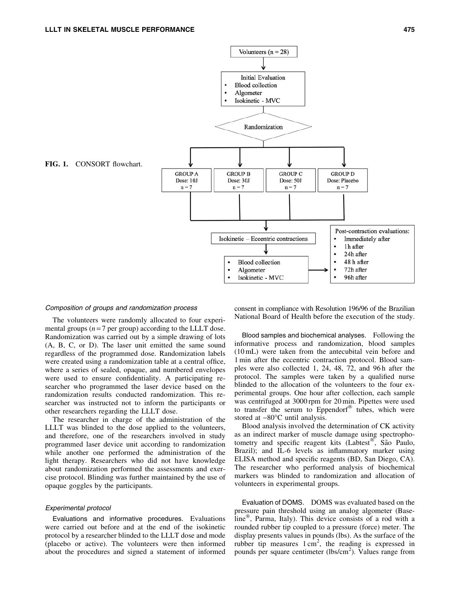

#### Composition of groups and randomization process

The volunteers were randomly allocated to four experimental groups  $(n=7$  per group) according to the LLLT dose. Randomization was carried out by a simple drawing of lots (A, B, C, or D). The laser unit emitted the same sound regardless of the programmed dose. Randomization labels were created using a randomization table at a central office, where a series of sealed, opaque, and numbered envelopes were used to ensure confidentiality. A participating researcher who programmed the laser device based on the randomization results conducted randomization. This researcher was instructed not to inform the participants or other researchers regarding the LLLT dose.

The researcher in charge of the administration of the LLLT was blinded to the dose applied to the volunteers, and therefore, one of the researchers involved in study programmed laser device unit according to randomization while another one performed the administration of the light therapy. Researchers who did not have knowledge about randomization performed the assessments and exercise protocol. Blinding was further maintained by the use of opaque goggles by the participants.

## Experimental protocol

Evaluations and informative procedures. Evaluations were carried out before and at the end of the isokinetic protocol by a researcher blinded to the LLLT dose and mode (placebo or active). The volunteers were then informed about the procedures and signed a statement of informed

consent in compliance with Resolution 196/96 of the Brazilian National Board of Health before the execution of the study.

Blood samples and biochemical analyses. Following the informative process and randomization, blood samples (10 mL) were taken from the antecubital vein before and 1 min after the eccentric contraction protocol. Blood samples were also collected 1, 24, 48, 72, and 96 h after the protocol. The samples were taken by a qualified nurse blinded to the allocation of the volunteers to the four experimental groups. One hour after collection, each sample was centrifuged at 3000 rpm for 20 min. Pipettes were used to transfer the serum to Eppendorf® tubes, which were stored at  $-80^{\circ}$ C until analysis.

Blood analysis involved the determination of CK activity as an indirect marker of muscle damage using spectrophotometry and specific reagent kits (Labtest<sup>®</sup>, São Paulo, Brazil); and IL-6 levels as inflammatory marker using ELISA method and specific reagents (BD, San Diego, CA). The researcher who performed analysis of biochemical markers was blinded to randomization and allocation of volunteers in experimental groups.

Evaluation of DOMS. DOMS was evaluated based on the pressure pain threshold using an analog algometer (Baseline<sup>®</sup>, Parma, Italy). This device consists of a rod with a rounded rubber tip coupled to a pressure (force) meter. The display presents values in pounds (lbs). As the surface of the rubber tip measures  $1 \text{ cm}^2$ , the reading is expressed in pounds per square centimeter (lbs/cm<sup>2</sup>). Values range from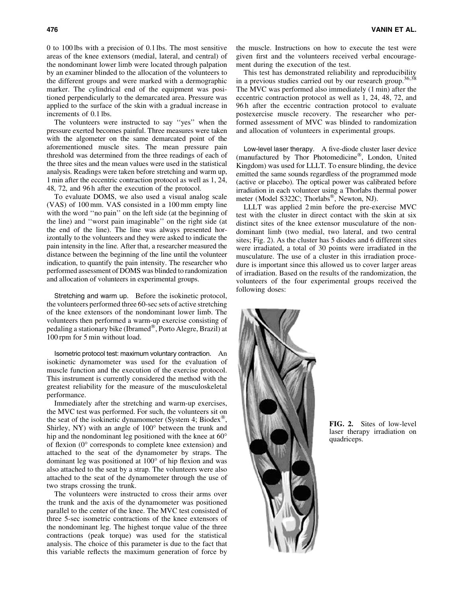0 to 100 lbs with a precision of 0.1 lbs. The most sensitive areas of the knee extensors (medial, lateral, and central) of the nondominant lower limb were located through palpation by an examiner blinded to the allocation of the volunteers to the different groups and were marked with a dermographic marker. The cylindrical end of the equipment was positioned perpendicularly to the demarcated area. Pressure was applied to the surface of the skin with a gradual increase in increments of 0.1 lbs.

The volunteers were instructed to say ''yes'' when the pressure exerted becomes painful. Three measures were taken with the algometer on the same demarcated point of the aforementioned muscle sites. The mean pressure pain threshold was determined from the three readings of each of the three sites and the mean values were used in the statistical analysis. Readings were taken before stretching and warm up, 1 min after the eccentric contraction protocol as well as 1, 24, 48, 72, and 96 h after the execution of the protocol.

To evaluate DOMS, we also used a visual analog scale (VAS) of 100 mm. VAS consisted in a 100 mm empty line with the word "no pain" on the left side (at the beginning of the line) and ''worst pain imaginable'' on the right side (at the end of the line). The line was always presented horizontally to the volunteers and they were asked to indicate the pain intensity in the line. After that, a researcher measured the distance between the beginning of the line until the volunteer indication, to quantify the pain intensity. The researcher who performed assessment of DOMS was blinded to randomization and allocation of volunteers in experimental groups.

Stretching and warm up. Before the isokinetic protocol, the volunteers performed three 60-sec sets of active stretching of the knee extensors of the nondominant lower limb. The volunteers then performed a warm-up exercise consisting of pedaling a stationary bike (Ibramed®, Porto Alegre, Brazil) at 100 rpm for 5 min without load.

Isometric protocol test: maximum voluntary contraction. An isokinetic dynamometer was used for the evaluation of muscle function and the execution of the exercise protocol. This instrument is currently considered the method with the greatest reliability for the measure of the musculoskeletal performance.

Immediately after the stretching and warm-up exercises, the MVC test was performed. For such, the volunteers sit on the seat of the isokinetic dynamometer (System 4; Biodex<sup>®</sup>, Shirley, NY) with an angle of  $100^{\circ}$  between the trunk and hip and the nondominant leg positioned with the knee at 60 $^{\circ}$ of flexion  $(0^{\circ}$  corresponds to complete knee extension) and attached to the seat of the dynamometer by straps. The dominant leg was positioned at  $100^{\circ}$  of hip flexion and was also attached to the seat by a strap. The volunteers were also attached to the seat of the dynamometer through the use of two straps crossing the trunk.

The volunteers were instructed to cross their arms over the trunk and the axis of the dynamometer was positioned parallel to the center of the knee. The MVC test consisted of three 5-sec isometric contractions of the knee extensors of the nondominant leg. The highest torque value of the three contractions (peak torque) was used for the statistical analysis. The choice of this parameter is due to the fact that this variable reflects the maximum generation of force by the muscle. Instructions on how to execute the test were given first and the volunteers received verbal encouragement during the execution of the test.

This test has demonstrated reliability and reproducibility in a previous studies carried out by our research group.<sup>36,38</sup> The MVC was performed also immediately (1 min) after the eccentric contraction protocol as well as 1, 24, 48, 72, and 96 h after the eccentric contraction protocol to evaluate postexercise muscle recovery. The researcher who performed assessment of MVC was blinded to randomization and allocation of volunteers in experimental groups.

Low-level laser therapy. A five-diode cluster laser device (manufactured by Thor Photomedicine®, London, United Kingdom) was used for LLLT. To ensure blinding, the device emitted the same sounds regardless of the programmed mode (active or placebo). The optical power was calibrated before irradiation in each volunteer using a Thorlabs thermal power meter (Model S322C; Thorlabs®, Newton, NJ).

LLLT was applied 2 min before the pre-exercise MVC test with the cluster in direct contact with the skin at six distinct sites of the knee extensor musculature of the nondominant limb (two medial, two lateral, and two central sites; Fig. 2). As the cluster has 5 diodes and 6 different sites were irradiated, a total of 30 points were irradiated in the musculature. The use of a cluster in this irradiation procedure is important since this allowed us to cover larger areas of irradiation. Based on the results of the randomization, the volunteers of the four experimental groups received the following doses:



FIG. 2. Sites of low-level laser therapy irradiation on quadriceps.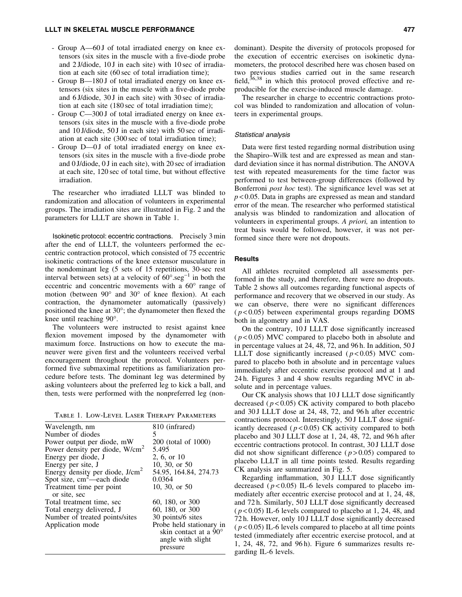- Group A—60 J of total irradiated energy on knee extensors (six sites in the muscle with a five-diode probe and 2 J/diode, 10 J in each site) with 10 sec of irradiation at each site (60 sec of total irradiation time);
- Group B—180 J of total irradiated energy on knee extensors (six sites in the muscle with a five-diode probe and 6 J/diode, 30 J in each site) with 30 sec of irradiation at each site (180 sec of total irradiation time);
- Group C—300 J of total irradiated energy on knee extensors (six sites in the muscle with a five-diode probe and 10 J/diode, 50 J in each site) with 50 sec of irradiation at each site (300 sec of total irradiation time);
- Group D—0 J of total irradiated energy on knee extensors (six sites in the muscle with a five-diode probe and 0 J/diode, 0 J in each site), with 20 sec of irradiation at each site, 120 sec of total time, but without effective irradiation.

The researcher who irradiated LLLT was blinded to randomization and allocation of volunteers in experimental groups. The irradiation sites are illustrated in Fig. 2 and the parameters for LLLT are shown in Table 1.

Isokinetic protocol: eccentric contractions. Precisely 3 min after the end of LLLT, the volunteers performed the eccentric contraction protocol, which consisted of 75 eccentric isokinetic contractions of the knee extensor musculature in the nondominant leg (5 sets of 15 repetitions, 30-sec rest interval between sets) at a velocity of  $60^{\circ} \text{.seg}^{-1}$  in both the eccentric and concentric movements with a  $60^\circ$  range of motion (between  $90^{\circ}$  and  $30^{\circ}$  of knee flexion). At each contraction, the dynamometer automatically (passively) positioned the knee at  $30^{\circ}$ ; the dynamometer then flexed the knee until reaching 90°.

The volunteers were instructed to resist against knee flexion movement imposed by the dynamometer with maximum force. Instructions on how to execute the maneuver were given first and the volunteers received verbal encouragement throughout the protocol. Volunteers performed five submaximal repetitions as familiarization procedure before tests. The dominant leg was determined by asking volunteers about the preferred leg to kick a ball, and then, tests were performed with the nonpreferred leg (non-

Table 1. Low-Level Laser Therapy Parameters

| Wavelength, nm                    | 810 (infrared)                 |
|-----------------------------------|--------------------------------|
| Number of diodes                  | 5.                             |
| Power output per diode, mW        | 200 (total of 1000)            |
| Power density per diode, $W/cm2$  | 5.495                          |
| Energy per diode, J               | 2, 6, or 10                    |
| Energy per site, J                | 10, 30, or 50                  |
| Energy density per diode, $J/cm2$ | 54.95, 164.84, 274.73          |
| Spot size, $cm^2$ —each diode     | 0.0364                         |
| Treatment time per point          | 10, 30, or 50                  |
| or site, sec                      |                                |
| Total treatment time, sec         | 60, 180, or 300                |
| Total energy delivered, J         | 60, 180, or 300                |
| Number of treated points/sites    | 30 points/6 sites              |
| Application mode                  | Probe held stationary in       |
|                                   | skin contact at a $90^{\circ}$ |
|                                   | angle with slight              |
|                                   | pressure                       |
|                                   |                                |

dominant). Despite the diversity of protocols proposed for the execution of eccentric exercises on isokinetic dynamometers, the protocol described here was chosen based on two previous studies carried out in the same research field, $36,38$  in which this protocol proved effective and reproducible for the exercise-induced muscle damage.

The researcher in charge to eccentric contractions protocol was blinded to randomization and allocation of volunteers in experimental groups.

## Statistical analysis

Data were first tested regarding normal distribution using the Shapiro–Wilk test and are expressed as mean and standard deviation since it has normal distribution. The ANOVA test with repeated measurements for the time factor was performed to test between-group differences (followed by Bonferroni *post hoc* test). The significance level was set at *p* < 0.05. Data in graphs are expressed as mean and standard error of the mean. The researcher who performed statistical analysis was blinded to randomization and allocation of volunteers in experimental groups. *A priori,* an intention to treat basis would be followed, however, it was not performed since there were not dropouts.

# **Results**

All athletes recruited completed all assessments performed in the study, and therefore, there were no dropouts. Table 2 shows all outcomes regarding functional aspects of performance and recovery that we observed in our study. As we can observe, there were no significant differences  $(p<0.05)$  between experimental groups regarding DOMS both in algometry and in VAS.

On the contrary, 10 J LLLT dose significantly increased  $(p<0.05)$  MVC compared to placebo both in absolute and in percentage values at 24, 48, 72, and 96 h. In addition, 50 J LLLT dose significantly increased  $(p<0.05)$  MVC compared to placebo both in absolute and in percentage values immediately after eccentric exercise protocol and at 1 and 24 h. Figures 3 and 4 show results regarding MVC in absolute and in percentage values.

Our CK analysis shows that 10 J LLLT dose significantly decreased ( $p < 0.05$ ) CK activity compared to both placebo and 30 J LLLT dose at 24, 48, 72, and 96 h after eccentric contractions protocol. Interestingly, 50 J LLLT dose significantly decreased  $(p<0.05)$  CK activity compared to both placebo and 30 J LLLT dose at 1, 24, 48, 72, and 96 h after eccentric contractions protocol. In contrast, 30 J LLLT dose did not show significant difference  $(p > 0.05)$  compared to placebo LLLT in all time points tested. Results regarding CK analysis are summarized in Fig. 5.

Regarding inflammation, 30 J LLLT dose significantly decreased  $(p<0.05)$  IL-6 levels compared to placebo immediately after eccentric exercise protocol and at 1, 24, 48, and 72 h. Similarly, 50 J LLLT dose significantly decreased  $(p<0.05)$  IL-6 levels compared to placebo at 1, 24, 48, and 72 h. However, only 10 J LLLT dose significantly decreased  $(p<0.05)$  IL-6 levels compared to placebo at all time points tested (immediately after eccentric exercise protocol, and at 1, 24, 48, 72, and 96 h). Figure 6 summarizes results regarding IL-6 levels.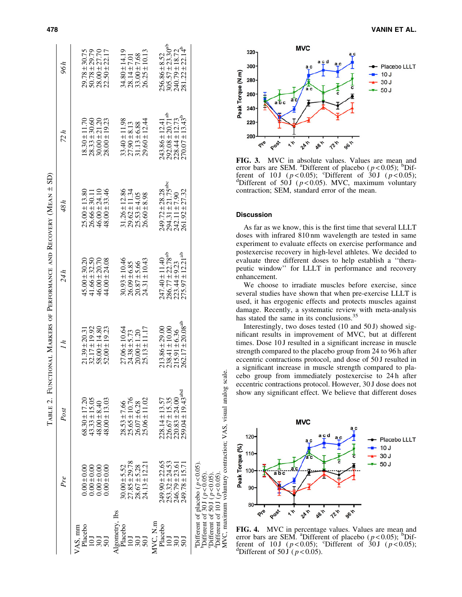|                           |                                                                                                                                                                               |                                                                                     |                                                                                                       |                                                                                                                 | TABLE 2. FUNCTIONAL MARKERS OF PERFORMANCE AND RECOVERY (MEAN ± SD)                                |                                                                                                                 |                                                                                                         |
|---------------------------|-------------------------------------------------------------------------------------------------------------------------------------------------------------------------------|-------------------------------------------------------------------------------------|-------------------------------------------------------------------------------------------------------|-----------------------------------------------------------------------------------------------------------------|----------------------------------------------------------------------------------------------------|-----------------------------------------------------------------------------------------------------------------|---------------------------------------------------------------------------------------------------------|
|                           | Pre                                                                                                                                                                           | Post                                                                                | $\mu$                                                                                                 | 24 h                                                                                                            | 48h                                                                                                | 72h                                                                                                             | 96 h                                                                                                    |
| Placebo<br>VAS, mm        | $0.00 \pm 0.00$<br>$0.00 \pm 0.00$                                                                                                                                            | $68.30 \pm 17.20$                                                                   | $\begin{array}{c} 21.39 \pm 20.31 \\ 32.17 \pm 19.92 \\ 58.00 \pm 14.80 \end{array}$                  | $\begin{array}{c} 45.00 \pm 30.20 \\ 41.66 \pm 32.50 \\ 46.00 \pm 20.70 \end{array}$                            | $\begin{array}{c} 25.00 \pm 13.80 \\ 26.66 \pm 30.11 \\ 46.00 \pm 24.10 \end{array}$               | $\begin{array}{c} 18.30 \pm 11.70 \\ 28.33 \pm 30.60 \\ 30.00 \pm 21.20 \end{array}$                            |                                                                                                         |
| $\frac{20}{50}$           | $0.00 \pm 0.00$<br>$0.00 \pm 0.00$                                                                                                                                            | $43.33 \pm 15.05$<br>$48.00 \pm 8.40$<br>$48.00 \pm 13.03$                          | $52.00 \pm 19.23$                                                                                     | $44.00 \pm 24.08$                                                                                               | $48.00 \pm 33.46$                                                                                  | $28.00 \pm 19.23$                                                                                               | $\begin{array}{c} 29.78 \pm 30.75 \\ 50.78 \pm 29.79 \\ 28.00 \pm 27.70 \\ 22.50 \pm 22.17 \end{array}$ |
| Algometry, Ibs<br>Placebo |                                                                                                                                                                               | $28.53 \pm 7.66$                                                                    |                                                                                                       |                                                                                                                 |                                                                                                    |                                                                                                                 |                                                                                                         |
| 50 <sub>J</sub>           | $\begin{array}{c} 30.00 \pm 5.52 \\ 27.85 \pm 29.78 \\ 28.67 \pm 5.28 \\ 24.13 \pm 12.21 \end{array}$                                                                         | $\begin{array}{c} 25.65 \pm 10.76 \\ 26.07 \pm 6.28 \\ 25.06 \pm 11.02 \end{array}$ | $\begin{array}{c} 27.06 \pm 10.64 \\ 24.38 \pm 5.73 \\ 20.00 \pm 1.20 \\ 25.13 \pm 11.17 \end{array}$ | $30.93 \pm 10.46$<br>$26.09 \pm 6.85$<br>$20.87 \pm 5.66$<br>$24.31 \pm 10.43$                                  | $31.26 \pm 12.86$<br>$29.62 \pm 11.34$<br>$25.53 \pm 4.05$<br>$26.60 \pm 8.98$                     | $33.40 \pm 11.98$<br>$27.90 \pm 8.13$<br>$31.13 \pm 6.88$<br>$29.60 \pm 12.44$                                  | $34.80 \pm 14.19$<br>$28.14 \pm 7.01$<br>$33.00 \pm 7.68$<br>$26.25 \pm 10.13$                          |
| MVC, N.m<br>Placebo       | $249.90 \pm 22.65$                                                                                                                                                            | $228.14 \pm 13.57$                                                                  |                                                                                                       |                                                                                                                 |                                                                                                    |                                                                                                                 |                                                                                                         |
|                           | $253.32 \pm 24.53$<br>246.79 ± 23.61<br>$249.78 \pm 15.71$                                                                                                                    | $259.04 \pm 19.43$ <sup>abd</sup><br>$226.67 \pm 15.35$<br>$220.83 \pm 24.00$       | $262.17 \pm 20.08^{ab}$<br>$213.86 \pm 29.00$<br>$238.41 \pm 10.00$<br>$215.91 \pm 6.36$              | $247.40 \pm 11.40$<br>$286.77 \pm 22.78$ <sup>ab</sup><br>$223.44 \pm 9.23$<br>$275.97 \pm 12.21$ <sup>ab</sup> | $249.72 \pm 28.28$<br>$294.31 \pm 21.75$ <sup>abc</sup><br>$242.11 \pm 7.90$<br>$261.92 \pm 27.32$ | $243.86 \pm 12.41$<br>$292.08 \pm 20.71$ <sup>ab</sup><br>$228.44 \pm 12.73$<br>$270.07 \pm 13.43$ <sup>b</sup> | $256.86 \pm 8.52$<br>305.57 ± 23.30 <sup>ab</sup><br>240.79 ± 18.72<br>281.22 ± 22.14 <sup>b</sup>      |
|                           | <sup>a</sup> Different of placebo ( $p < 0.05$ ).<br>Poifferent of 30 J ( $p < 0.05$ ).<br><sup>d</sup> Different of 10J ( $p < 0.05$ )<br>Different of 50 $J$ ( $p < 0.05$ ) |                                                                                     |                                                                                                       |                                                                                                                 |                                                                                                    |                                                                                                                 |                                                                                                         |



725

**go**n

FIG. 3. MVC in absolute values. Values are mean and error bars are SEM. <sup>a</sup>Different of placebo ( $p < 0.05$ ); <sup>b</sup>Different of 10 J ( $p < 0.05$ ); <sup>c</sup>Different of 30 J ( $p < 0.05$ ); determined by the position of 50 J ( $p < 0.05$ ). MVC maximum voluntary <sup>d</sup>Different of 50 J ( $p$  < 0.05). MVC, maximum voluntary contraction; SEM, standard error of the mean.

281

245

 $\tilde{\zeta}$ 

## Discussion

Peak Torque (N.m)

200

Post

Pre

MVC,

As far as we know, this is the first time that several LLLT doses with infrared 810 nm wavelength are tested in same experiment to evaluate effects on exercise performance and postexercise recovery in high-level athletes. We decided to evaluate three different doses to help establish a ''therapeutic window'' for LLLT in performance and recovery enhancement.

We choose to irradiate muscles before exercise, since several studies have shown that when pre-exercise LLLT is used, it has ergogenic effects and protects muscles against damage. Recently, a systematic review with meta-analysis has stated the same in its conclusions.<sup>35</sup>

Interestingly, two doses tested (10 and 50 J) showed significant results in improvement of MVC, but at different times. Dose 10 J resulted in a significant increase in muscle strength compared to the placebo group from 24 to 96 h after eccentric contractions protocol, and dose of 50 J resulted in a significant increase in muscle strength compared to placebo group from immediately postexercise to 24 h after eccentric contractions protocol. However, 30 J dose does not show any significant effect. We believe that different doses



**FIG. 4.** MVC in percentage values. Values are mean and error bars are SEM. <sup>a</sup>Different of placebo  $(p<0.05)$ ; <sup>b</sup>Different of 10 J ( $p < 0.05$ ); <sup>c</sup>Different of 30 J ( $p < 0.05$ );<br><sup>d</sup>Different of 50 J ( $p < 0.05$ ) <sup>d</sup>Different of 50 J ( $p < 0.05$ ).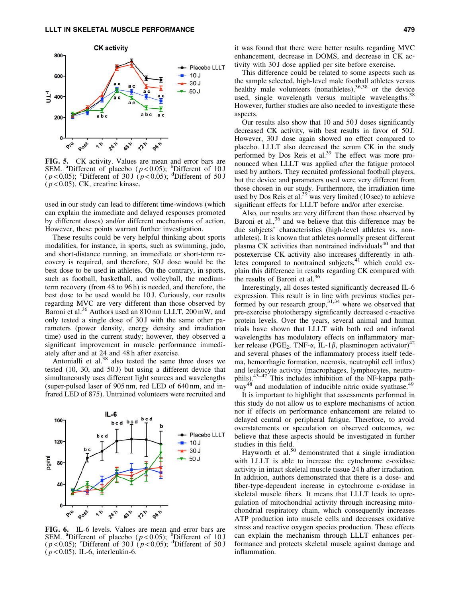

FIG. 5. CK activity. Values are mean and error bars are SEM. <sup>a</sup>Different of placebo  $(p<0.05)$ ; <sup>b</sup>Different of 10 J ( $p$ <0.05); <sup>c</sup>Different of 30 J ( $p$ <0.05); <sup>d</sup>Different of 50 J  $(p<0.05)$ . CK, creatine kinase.

used in our study can lead to different time-windows (which can explain the immediate and delayed responses promoted by different doses) and/or different mechanisms of action. However, these points warrant further investigation.

These results could be very helpful thinking about sports modalities, for instance, in sports, such as swimming, judo, and short-distance running, an immediate or short-term recovery is required, and therefore, 50 J dose would be the best dose to be used in athletes. On the contrary, in sports, such as football, basketball, and volleyball, the mediumterm recovery (from 48 to 96 h) is needed, and therefore, the best dose to be used would be 10 J. Curiously, our results regarding MVC are very different than those observed by Baroni et al.<sup>36</sup> Authors used an 810 nm LLLT, 200 mW, and only tested a single dose of 30 J with the same other parameters (power density, energy density and irradiation time) used in the current study; however, they observed a significant improvement in muscle performance immediately after and at 24 and 48 h after exercise.

Antonialli et al. $38$  also tested the same three doses we tested (10, 30, and 50J) but using a different device that simultaneously uses different light sources and wavelengths (super-pulsed laser of 905 nm, red LED of 640 nm, and infrared LED of 875). Untrained volunteers were recruited and



**FIG. 6.** IL-6 levels. Values are mean and error bars are SEM. <sup>a</sup>Different of placebo ( $p < 0.05$ ); <sup>b</sup>Different of 30 J ( $p < 0.05$ ); <sup>d</sup>Different of 50 J ( *p* < 0.05). IL-6, interleukin-6.

it was found that there were better results regarding MVC enhancement, decrease in DOMS, and decrease in CK activity with 30 J dose applied per site before exercise.

This difference could be related to some aspects such as the sample selected, high-level male football athletes versus healthy male volunteers (nonathletes),  $36,38$  or the device used, single wavelength versus multiple wavelengths.<sup>38</sup> However, further studies are also needed to investigate these aspects.

Our results also show that 10 and 50 J doses significantly decreased CK activity, with best results in favor of 50 J. However, 30 J dose again showed no effect compared to placebo. LLLT also decreased the serum CK in the study performed by Dos Reis et al.<sup>39</sup> The effect was more pronounced when LLLT was applied after the fatigue protocol used by authors. They recruited professional football players, but the device and parameters used were very different from those chosen in our study. Furthermore, the irradiation time used by Dos Reis et al.<sup>39</sup> was very limited (10 sec) to achieve significant effects for LLLT before and/or after exercise.

Also, our results are very different than those observed by Baroni et al.,<sup>36</sup> and we believe that this difference may be due subjects' characteristics (high-level athletes vs. nonathletes). It is known that athletes normally present different plasma CK activities than nontrained individuals<sup>40</sup> and that postexercise CK activity also increases differently in athletes compared to nontrained subjects, $41$  which could explain this difference in results regarding CK compared with the results of Baroni et al. $36$ 

Interestingly, all doses tested significantly decreased IL-6 expression. This result is in line with previous studies performed by our research group,  $31,34$  where we observed that pre-exercise phototherapy significantly decreased c-reactive protein levels. Over the years, several animal and human trials have shown that LLLT with both red and infrared wavelengths has modulatory effects on inflammatory marker release (PGE<sub>2</sub>, TNF- $\alpha$ , IL-1 $\beta$ , plasminogen activator)<sup>42</sup> and several phases of the inflammatory process itself (edema, hemorrhagic formation, necrosis, neutrophil cell influx) and leukocyte activity (macrophages, lymphocytes, neutrophils).43–47 This includes inhibition of the NF-kappa path $w$ <sub>48</sub> and modulation of inducible nitric oxide synthase.<sup>49</sup>

It is important to highlight that assessments performed in this study do not allow us to explore mechanisms of action nor if effects on performance enhancement are related to delayed central or peripheral fatigue. Therefore, to avoid overstatements or speculation on observed outcomes, we believe that these aspects should be investigated in further studies in this field.

Hayworth et al.<sup>50</sup> demonstrated that a single irradiation with LLLT is able to increase the cytochrome c-oxidase activity in intact skeletal muscle tissue 24 h after irradiation. In addition, authors demonstrated that there is a dose- and fiber-type-dependent increase in cytochrome c-oxidase in skeletal muscle fibers. It means that LLLT leads to upregulation of mitochondrial activity through increasing mitochondrial respiratory chain, which consequently increases ATP production into muscle cells and decreases oxidative stress and reactive oxygen species production. These effects can explain the mechanism through LLLT enhances performance and protects skeletal muscle against damage and inflammation.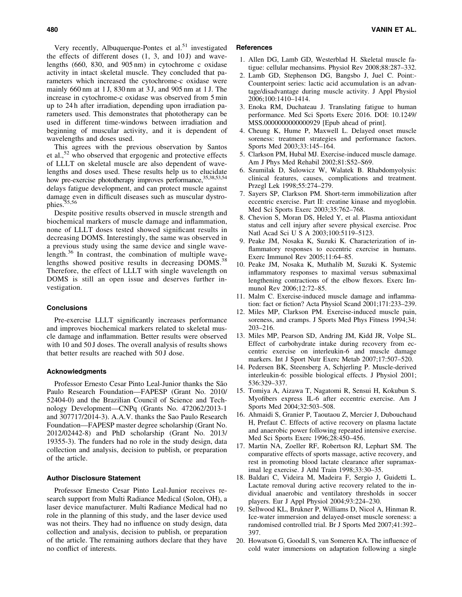Very recently, Albuquerque-Pontes et al.<sup>51</sup> investigated the effects of different doses  $(1, 3, 4, 10 J)$  and wavelengths (660, 830, and 905 nm) in cytochrome c oxidase activity in intact skeletal muscle. They concluded that parameters which increased the cytochrome-c oxidase were mainly 660 nm at 1 J, 830 nm at 3 J, and 905 nm at 1 J. The increase in cytochrome-c oxidase was observed from 5 min up to 24 h after irradiation, depending upon irradiation parameters used. This demonstrates that phototherapy can be used in different time-windows between irradiation and beginning of muscular activity, and it is dependent of wavelengths and doses used.

This agrees with the previous observation by Santos et al.,52 who observed that ergogenic and protective effects of LLLT on skeletal muscle are also dependent of wavelengths and doses used. These results help us to elucidate how pre-exercise phototherapy improves performance, 35,38,53,54 delays fatigue development, and can protect muscle against damage even in difficult diseases such as muscular dystrophies.<sup>5</sup>

Despite positive results observed in muscle strength and biochemical markers of muscle damage and inflammation, none of LLLT doses tested showed significant results in decreasing DOMS. Interestingly, the same was observed in a previous study using the same device and single wavelength.<sup>36</sup> In contrast, the combination of multiple wavelengths showed positive results in decreasing DOMS.<sup>38</sup> Therefore, the effect of LLLT with single wavelength on DOMS is still an open issue and deserves further investigation.

## **Conclusions**

Pre-exercise LLLT significantly increases performance and improves biochemical markers related to skeletal muscle damage and inflammation. Better results were observed with 10 and 50 J doses. The overall analysis of results shows that better results are reached with 50 J dose.

#### Acknowledgments

Professor Ernesto Cesar Pinto Leal-Junior thanks the São Paulo Research Foundation—FAPESP (Grant No. 2010/ 52404-0) and the Brazilian Council of Science and Technology Development—CNPq (Grants No. 472062/2013-1 and 307717/2014-3). A.A.V. thanks the Sao Paulo Research Foundation—FAPESP master degree scholarship (Grant No. 2012/02442-8) and PhD scholarship (Grant No. 2013/ 19355-3). The funders had no role in the study design, data collection and analysis, decision to publish, or preparation of the article.

## Author Disclosure Statement

Professor Ernesto Cesar Pinto Leal-Junior receives research support from Multi Radiance Medical (Solon, OH), a laser device manufacturer. Multi Radiance Medical had no role in the planning of this study, and the laser device used was not theirs. They had no influence on study design, data collection and analysis, decision to publish, or preparation of the article. The remaining authors declare that they have no conflict of interests.

# **References**

- 1. Allen DG, Lamb GD, Westerblad H. Skeletal muscle fatigue: cellular mechansims. Physiol Rev 2008;88:287–332.
- 2. Lamb GD, Stephenson DG, Bangsbo J, Juel C. Point:- Counterpoint series: lactic acid accumulation is an advantage/disadvantage during muscle activity. J Appl Physiol 2006;100:1410–1414.
- 3. Enoka RM, Duchateau J. Translating fatigue to human performance. Med Sci Sports Exerc 2016. DOI: 10.1249/ MSS.0000000000000929 [Epub ahead of print].
- 4. Cheung K, Hume P, Maxwell L. Delayed onset muscle soreness: treatment strategies and performance factors. Sports Med 2003;33:145–164.
- 5. Clarkson PM, Hubal MJ. Exercise-induced muscle damage. Am J Phys Med Rehabil 2002;81:S52–S69.
- 6. Szumilak D, Sulowicz W, Walatek B. Rhabdomyolysis: clinical features, causes, complications and treatment. Przegl Lek 1998;55:274–279.
- 7. Sayers SP, Clarkson PM. Short-term immobilization after eccentric exercise. Part II: creatine kinase and myoglobin. Med Sci Sports Exerc 2003;35:762–768.
- 8. Chevion S, Moran DS, Heled Y, et al. Plasma antioxidant status and cell injury after severe physical exercise. Proc Natl Acad Sci U S A 2003;100:5119–5123.
- 9. Peake JM, Nosaka K, Suzuki K. Characterization of inflammatory responses to eccentric exercise in humans. Exerc Immunol Rev 2005;11:64–85.
- 10. Peake JM, Nosaka K, Muthalib M, Suzuki K. Systemic inflammatory responses to maximal versus submaximal lengthening contractions of the elbow flexors. Exerc Immunol Rev 2006;12:72–85.
- 11. Malm C. Exercise-induced muscle damage and inflammation: fact or fiction? Acta Physiol Scand 2001;171:233–239.
- 12. Miles MP, Clarkson PM. Exercise-induced muscle pain, soreness, and cramps. J Sports Med Phys Fitness 1994;34: 203–216.
- 13. Miles MP, Pearson SD, Andring JM, Kidd JR, Volpe SL. Effect of carbohydrate intake during recovery from eccentric exercise on interleukin-6 and muscle damage markers. Int J Sport Nutr Exerc Metab 2007;17:507–520.
- 14. Pedersen BK, Steensberg A, Schjerling P. Muscle-derived interleukin-6: possible biological effects. J Physiol 2001; 536:329–337.
- 15. Tomiya A, Aizawa T, Nagatomi R, Sensui H, Kokubun S. Myofibers express IL-6 after eccentric exercise. Am J Sports Med 2004;32:503–508.
- 16. Ahmaidi S, Granier P, Taoutaou Z, Mercier J, Dubouchaud H, Prefaut C. Effects of active recovery on plasma lactate and anaerobic power following repeated intensive exercise. Med Sci Sports Exerc 1996;28:450–456.
- 17. Martin NA, Zoeller RF, Robertson RJ, Lephart SM. The comparative effects of sports massage, active recovery, and rest in promoting blood lactate clearance after supramaximal leg exercise. J Athl Train 1998;33:30–35.
- 18. Baldari C, Videira M, Madeira F, Sergio J, Guidetti L. Lactate removal during active recovery related to the individual anaerobic and ventilatory thresholds in soccer players. Eur J Appl Physiol 2004;93:224–230.
- 19. Sellwood KL, Brukner P, Williams D, Nicol A, Hinman R. Ice-water immersion and delayed-onset muscle soreness: a randomised controlled trial. Br J Sports Med 2007;41:392– 397.
- 20. Howatson G, Goodall S, van Someren KA. The influence of cold water immersions on adaptation following a single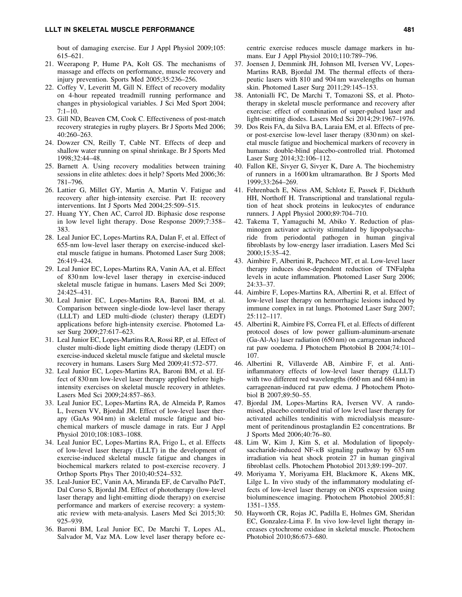bout of damaging exercise. Eur J Appl Physiol 2009;105: 615–621.

- 21. Weerapong P, Hume PA, Kolt GS. The mechanisms of massage and effects on performance, muscle recovery and injury prevention. Sports Med 2005;35:236–256.
- 22. Coffey V, Leveritt M, Gill N. Effect of recovery modality on 4-hour repeated treadmill running performance and changes in physiological variables. J Sci Med Sport 2004; 7:1–10.
- 23. Gill ND, Beaven CM, Cook C. Effectiveness of post-match recovery strategies in rugby players. Br J Sports Med 2006; 40:260–263.
- 24. Dowzer CN, Reilly T, Cable NT. Effects of deep and shallow water running on spinal shrinkage. Br J Sports Med 1998;32:44–48.
- 25. Barnett A. Using recovery modalities between training sessions in elite athletes: does it help? Sports Med 2006;36: 781–796.
- 26. Lattier G, Millet GY, Martin A, Martin V. Fatigue and recovery after high-intensity exercise. Part II: recovery interventions. Int J Sports Med 2004;25:509–515.
- 27. Huang YY, Chen AC, Carrol JD. Biphasic dose response in low level light therapy. Dose Response 2009;7:358– 383.
- 28. Leal Junior EC, Lopes-Martins RA, Dalan F, et al. Effect of 655-nm low-level laser therapy on exercise-induced skeletal muscle fatigue in humans. Photomed Laser Surg 2008; 26:419–424.
- 29. Leal Junior EC, Lopes-Martins RA, Vanin AA, et al. Effect of 830 nm low-level laser therapy in exercise-induced skeletal muscle fatigue in humans. Lasers Med Sci 2009; 24:425–431.
- 30. Leal Junior EC, Lopes-Martins RA, Baroni BM, et al. Comparison between single-diode low-level laser therapy (LLLT) and LED multi-diode (cluster) therapy (LEDT) applications before high-intensity exercise. Photomed Laser Surg 2009;27:617–623.
- 31. Leal Junior EC, Lopes-Martins RA, Rossi RP, et al. Effect of cluster multi-diode light emitting diode therapy (LEDT) on exercise-induced skeletal muscle fatigue and skeletal muscle recovery in humans. Lasers Surg Med 2009;41:572–577.
- 32. Leal Junior EC, Lopes-Martins RA, Baroni BM, et al. Effect of 830 nm low-level laser therapy applied before highintensity exercises on skeletal muscle recovery in athletes. Lasers Med Sci 2009;24:857–863.
- 33. Leal Junior EC, Lopes-Martins RA, de Almeida P, Ramos L, Iversen VV, Bjordal JM. Effect of low-level laser therapy (GaAs 904 nm) in skeletal muscle fatigue and biochemical markers of muscle damage in rats. Eur J Appl Physiol 2010;108:1083–1088.
- 34. Leal Junior EC, Lopes-Martins RA, Frigo L, et al. Effects of low-level laser therapy (LLLT) in the development of exercise-induced skeletal muscle fatigue and changes in biochemical markers related to post-exercise recovery. J Orthop Sports Phys Ther 2010;40:524–532.
- 35. Leal-Junior EC, Vanin AA, Miranda EF, de Carvalho PdeT, Dal Corso S, Bjordal JM. Effect of phototherapy (low-level laser therapy and light-emitting diode therapy) on exercise performance and markers of exercise recovery: a systematic review with meta-analysis. Lasers Med Sci 2015;30: 925–939.
- 36. Baroni BM, Leal Junior EC, De Marchi T, Lopes AL, Salvador M, Vaz MA. Low level laser therapy before ec-

centric exercise reduces muscle damage markers in humans. Eur J Appl Physiol 2010;110:789–796.

- 37. Joensen J, Demmink JH, Johnson MI, Iversen VV, Lopes-Martins RAB, Bjordal JM. The thermal effects of therapeutic lasers with 810 and 904 nm wavelengths on human skin. Photomed Laser Surg 2011;29:145–153.
- 38. Antonialli FC, De Marchi T, Tomazoni SS, et al. Phototherapy in skeletal muscle performance and recovery after exercise: effect of combination of super-pulsed laser and light-emitting diodes. Lasers Med Sci 2014;29:1967–1976.
- 39. Dos Reis FA, da Silva BA, Laraia EM, et al. Effects of preor post-exercise low-level laser therapy (830 nm) on skeletal muscle fatigue and biochemical markers of recovery in humans: double-blind placebo-controlled trial. Photomed Laser Surg 2014;32:106–112.
- 40. Fallon KE, Sivyer G, Sivyer K, Dare A. The biochemistry of runners in a 1600 km ultramarathon. Br J Sports Med 1999;33:264–269.
- 41. Fehrenbach E, Niess AM, Schlotz E, Passek F, Dickhuth HH, Northoff H. Transcriptional and translational regulation of heat shock proteins in leukocytes of endurance runners. J Appl Physiol 2000;89:704–710.
- 42. Takema T, Yamaguchi M, Abiko Y. Reduction of plasminogen activator activity stimulated by lipopolysaccharide from periodontal pathogen in human gingival fibroblasts by low-energy laser irradiation. Lasers Med Sci 2000;15:35–42.
- 43. Aimbire F, Albertini R, Pacheco MT, et al. Low-level laser therapy induces dose-dependent reduction of TNFalpha levels in acute inflammation. Photomed Laser Surg 2006; 24:33–37.
- 44. Aimbire F, Lopes-Martins RA, Albertini R, et al. Effect of low-level laser therapy on hemorrhagic lesions induced by immune complex in rat lungs. Photomed Laser Surg 2007; 25:112–117.
- 45. Albertini R, Aimbire FS, Correa FI, et al. Effects of different protocol doses of low power gallium-aluminum-arsenate (Ga-Al-As) laser radiation (650 nm) on carrageenan induced rat paw ooedema. J Photochem Photobiol B 2004;74:101– 107.
- 46. Albertini R, Villaverde AB, Aimbire F, et al. Antiinflammatory effects of low-level laser therapy (LLLT) with two different red wavelengths (660 nm and 684 nm) in carrageenan-induced rat paw edema. J Photochem Photobiol B 2007;89:50–55.
- 47. Bjordal JM, Lopes-Martins RA, Iversen VV. A randomised, placebo controlled trial of low level laser therapy for activated achilles tendinitis with microdialysis measurement of peritendinous prostaglandin E2 concentrations. Br J Sports Med 2006;40:76–80.
- 48. Lim W, Kim J, Kim S, et al. Modulation of lipopolysaccharide-induced NF- $\kappa$ B signaling pathway by 635 nm irradiation via heat shock protein 27 in human gingival fibroblast cells. Photochem Photobiol 2013;89:199–207.
- 49. Moriyama Y, Moriyama EH, Blackmore K, Akens MK, Lilge L. In vivo study of the inflammatory modulating effects of low-level laser therapy on iNOS expression using bioluminescence imaging. Photochem Photobiol 2005;81: 1351–1355.
- 50. Hayworth CR, Rojas JC, Padilla E, Holmes GM, Sheridan EC, Gonzalez-Lima F. In vivo low-level light therapy increases cytochrome oxidase in skeletal muscle. Photochem Photobiol 2010;86:673–680.